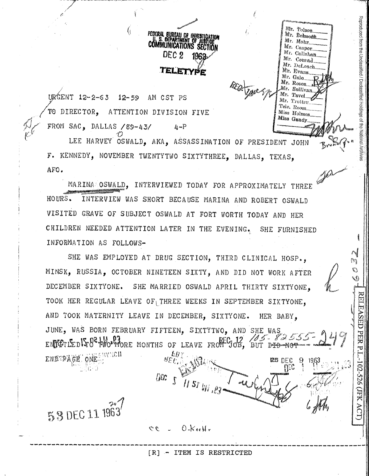IIRGENT 12-2-63 12-59 AM CST PS TO DIRECTOR, ATTENTION DIVISION FIVE FROM SAC, DALLAS /89-43/  $\mu$   $\sim$ P

G.

LEE HARVEY OSWALD, AKA, ASSASSINATION OF PRESIDENT JOHN F. KENNEDY, NOVEMBER TWENTYTWO SIXTYTHREE, DALLAS, TEXAS, AFO.

FEDERAL BUREAU DE IN

communications" se

TELETYPE

1965

 $DEC 2$ 

Reproduced from the Unclassified / Declassified Holdings of the National Archives

 $\mathcal{E}_{\mathcal{F}}$ 

Q,

ASED

**PER P** 

102-526 (JFK

Mr. Tolson

Mr. Belmont Mr. Mohr.

Mr. Casper. Mr. Callahan

Mr. Courad Mr. DeLoach

Mr. Evans Mr. Gale Mr. Rosen Mr. Sullivan Mr. Tavel.

Mr. Trotter Tele. Room.

Miss Holmes Miss Gandy

MARINA OSWALD, INTERVIEWED TODAY FOR APPROXIMATELY THREE INTERVIEW WAS SHORT BECAUSE MARINA AND ROBERT OSWALD HOURS. VISITED GRAVE OF SUBJECT OSWALD AT FORT WORTH TODAY AND HER CHILDREN NEEDED ATTENTION LATER IN THE EVENING, SHE FURNISHED INFORMATION AS FOLLOWS-

SHE WAS EMPLOYED AT DRUG SECTION. THIRD CLINICAL HOSP. MINSK, RUSSIA, OCTOBER NINETEEN SIXTY, AND DID NOT WORK AFTER DECEMBER SIXTYONE. SHE MARRIED OSWALD APRIL THIRTY SIXTYONE, TOOK HER REGULAR LEAVE OF THREE WEEKS IN SEPTEMBER SIXTYONE. AND TOOK MATERNITY LEAVE IN DECEMBER, SIXTYONE. HER BABY. JUNE, WAS BORN FEBRUARY FIFTEEN, SIXTYTWO, AND SHE WAS EMPETIEDITO PUO VORE MONTHS OF LEAVE FRONT JOB, BUT DID NOT ENDEPAGE ONE me r



[R] - ITEM IS RESTRICTED

 $0.$ K og M o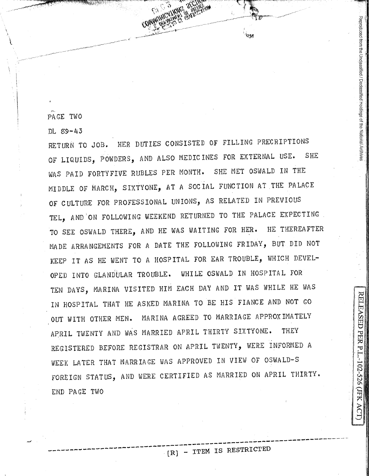PAGE TWO

~.

~ \_\_\_\_ .,......,,,-,~\_.,.......-,,,, -------------

 $\mathbf{I}$ ' I

 $DL$   $89-43$ 

RETURN TO JOB. HER DUTIES CONSISTED OF FILLING PRECRIPTIONS OF LIQUIDS, POWDERS, AND ALSO MEDICINES FOR EXTERNAL USE. SHE WAS PAID FORTYFIVE RUBLES PER MONTH. SHE MET OSWALD IN THE MIDDLE OF MARCH, SIXTYONE, AT A SOCIAL FUNCTION AT THE PALACE OF CULTURE FOR PROFESSIONAL UNIONS, AS RELATED IN PREVIOUS TEL, AND ON FOLLOWING WEEKEND RETURNED TO THE PALACE EXPECTING TO SEE OSWALD THERE, AND HE WAS WAITING FOR HER. HE THEREAFTER MADE ARRANGEMENTS FOR A DATE THE FOLLOWING FRIDAY, BUT DID NOT KEEP IT AS HE WENT TO A HOSPITAL FOR EAR TROUBLE, WHICH DEVEL-OPED INTO GLANDULAR TROUBLE. WHILE OSWALD IN HOSPITAL FOR TEN DAYS, MARINA VISITED HIM EACH DAY AND IT WAS WHILE HE WAS IN HOSPITAL THAT HE ASKED MARINA TO BE HIS FIANCE AND NOT GO OUT WITH OTHER MEN. MARINA AGREED TO MARRIAGE APPROXIMATELY APRIL TWENTY AND WAS MARRIED APRIL THIRTY SIXTYONE. THEY REGISTERED BEFORE REGISTRAR ON APRIL TWENTY, WERE INFORMED <sup>A</sup> WEEK LATER THAT MARRIAGE WAS APPROVED IN VIEW OF OSWALD-S FOREIGN STATUS, AND WERE CERTIFIED AS MARRIED ON APRIL THIRTY. END PAGE TWO

I

Reproduced from the Unclassified / Declassified Holdings of the National Archiv

I, Ii

PER P

 $102 -$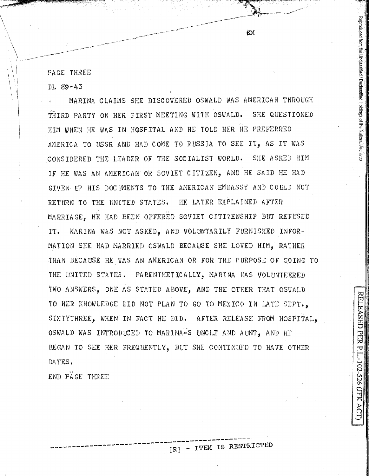PAGE THREE

DL 89-43

 $\backslash$ 

 $\left| \frac{1}{2} \right|$ 

 $\cdot \ \bot$ 

MARINA CLAIMS SHE DISCOVERED OSWALD WAS AMERICAN THROUGH THIRD PARTY ON HER FIRST MEETING WITH OSWALD. SHE QUESTIONED HIM WHEN HE WAS IN HOSPITAL AND HE TOLD HER HE PREFERRED AMERICA TO USSR AND HAD COME TO RUSSIA TO SEE IT, AS IT WAS CONSIDERED THE LEADER OF THE SOCIALIST WORLD. SHE ASKED HIM IF HE WAS AN AMERICAN OR SOVIET CITIZEN, AND HE SAID HE HAD GIVEN UP HIS DOCUMENTS TO THE AMERICAN EMBASSY AND COULD NOT RETURN TO THE UNITED STATES. HE LATER EXPLAINED AFTER MARRIAGE, HE HAD BEEN OFFERED SOVIET CITIZENSHIP BUT REFUSED IT. MARINA WAS NOT ASKED, AND VOLUNTARILY FURNISHED INFOR-MATION SHE HAD MARRIED OSWALD BECAUSE SHE LOVED HIM, RATHER THAN BECAUSE HE WAS AN AMERICAN OR FOR THE PURPOSE OF GOING TO THE UNITED STATES. PARENTHETICALLY, MARINA HAS VOLUNTEERED TWO ANSWERS, ONE AS STATED ABOVE, AND THE OTHER THAT OSWALD TO HER KNOWLEDGE DID NOT PLAN TO GO TO MEXICO IN LATE SEPT., SIXTYTHREE, WHEN IN FACT HE DID. AFTER RELEASE FROM HOSPITAL, OSWALD WAS INTRODUCED TO MARINA-S UNCLE AND AUNT, AND HE BEGAN TO SEE HER FREQUENTLY, BUT SHE CONTINUED TO HAVE OTHER DATES.

**EM** 

•. , END PAGE THREE

 $[R]$  - ITEM IS RESTRICTED

|<br>|<br>|

RELEASED PER P.I.-102-526 (JFK

Reproduced from the Unclassified / Declassified Holdings of the National Archive